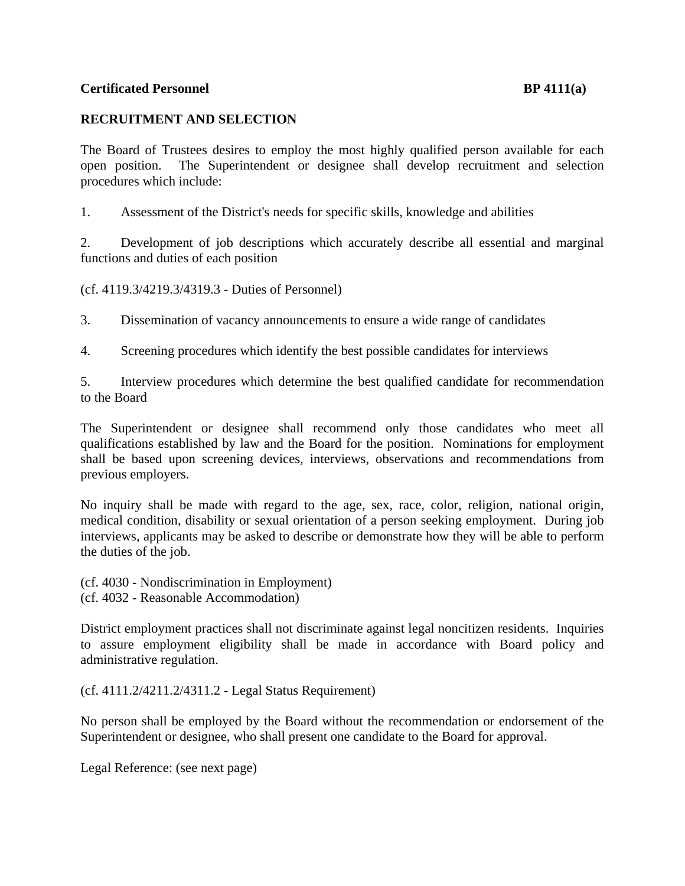## **Certificated Personnel and Service Services Certificated Personnel and Service Services Certificated Personnel**

## **RECRUITMENT AND SELECTION**

The Board of Trustees desires to employ the most highly qualified person available for each open position. The Superintendent or designee shall develop recruitment and selection procedures which include:

1. Assessment of the District's needs for specific skills, knowledge and abilities

2. Development of job descriptions which accurately describe all essential and marginal functions and duties of each position

(cf. 4119.3/4219.3/4319.3 - Duties of Personnel)

3. Dissemination of vacancy announcements to ensure a wide range of candidates

4. Screening procedures which identify the best possible candidates for interviews

5. Interview procedures which determine the best qualified candidate for recommendation to the Board

The Superintendent or designee shall recommend only those candidates who meet all qualifications established by law and the Board for the position. Nominations for employment shall be based upon screening devices, interviews, observations and recommendations from previous employers.

No inquiry shall be made with regard to the age, sex, race, color, religion, national origin, medical condition, disability or sexual orientation of a person seeking employment. During job interviews, applicants may be asked to describe or demonstrate how they will be able to perform the duties of the job.

(cf. 4030 - Nondiscrimination in Employment) (cf. 4032 - Reasonable Accommodation)

District employment practices shall not discriminate against legal noncitizen residents. Inquiries to assure employment eligibility shall be made in accordance with Board policy and administrative regulation.

(cf. 4111.2/4211.2/4311.2 - Legal Status Requirement)

No person shall be employed by the Board without the recommendation or endorsement of the Superintendent or designee, who shall present one candidate to the Board for approval.

Legal Reference: (see next page)